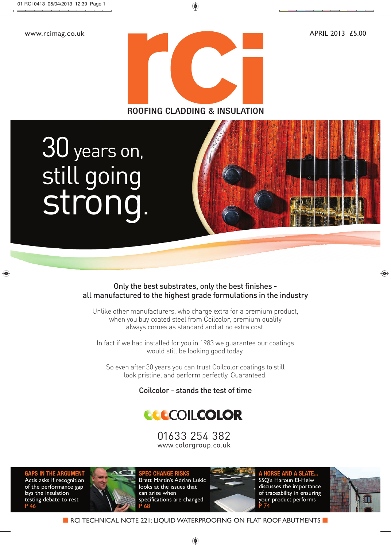

### ROOFING CLADDING & INSULATION

still going strong strong.



### Only the best substrates, only the best finishes all manufactured to the highest grade formulations in the industry

Unlike other manufacturers, who charge extra for a premium product, when you buy coated steel from Coilcolor, premium quality always comes as standard and at no extra cost.

In fact if we had installed for you in 1983 we guarantee our coatings would still be looking good today.

So even after 30 years you can trust Coilcolor coatings to still look pristine, and perform perfectly. Guaranteed.

Coilcolor - stands the test of time

## **CCCCOILCOLOR**

01633 254 382 01633 254 382 www.colorgroup.co.uk

**GAPS IN THE ARGUMENT** Actis asks if recognition of the performance gap lays the insulation testing debate to rest P 46



**SPEC CHANGE RISKS** Brett Martin's Adrian Lukic looks at the issues that can arise when specifications are changed P 68



**A HORSE AND A SLATE...** SSQ's Haroun El-Helw discusses the importance of traceability in ensuring your product performs P 74

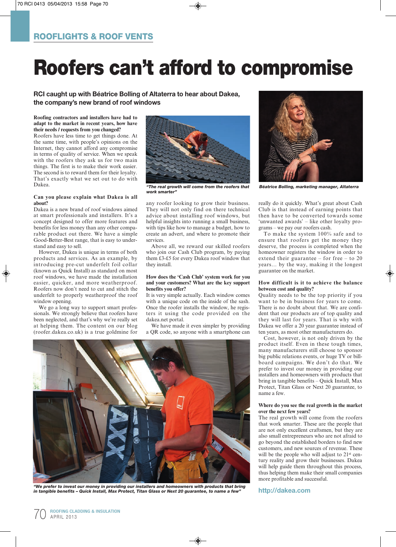# Roofers can't afford to compromise

**RCI caught up with Béatrice Bolling of Altaterra to hear about Dakea, the company's new brand of roof windows**

#### **Roofing contractors and installers have had to adapt to the market in recent years, how have their needs / requests from you changed?**

Roofers have less time to get things done. At the same time, with people's opinions on the Internet, they cannot afford any compromise in terms of quality of service. When we speak with the roofers they ask us for two main things. The first is to make their work easier. The second is to reward them for their loyalty. That's exactly what we set out to do with Dakea.

#### **Can you please explain what Dakea is all about?**

Dakea is a new brand of roof windows aimed at smart professionals and installers. It's a concept designed to offer more features and benefits for less money than any other comparable product out there. We have a simple Good-Better-Best range, that is easy to understand and easy to sell.

However, Dakea is unique in terms of both products and services. As an example, by introducing pre-cut underfelt foil collar (known as Quick Install) as standard on most roof windows, we have made the installation easier, quicker, and more weatherproof. Roofers now don't need to cut and stitch the underfelt to properly weatherproof the roof window opening.

We go a long way to support smart professionals. We strongly believe that roofers have been neglected, and that's why we're really set at helping them. The content on our blog (roofer.dakea.co.uk) is a true goldmine for



*work smarter"*

any roofer looking to grow their business. They will not only find on there technical advice about installing roof windows, but helpful insights into running a small business, with tips like how to manage a budget, how to create an advert, and where to promote their services.

Above all, we reward our skilled roofers who join our Cash Club program, by paying them £3-£5 for every Dakea roof window that they install.

#### **How does the 'Cash Club' system work for you and your customers? What are the key support benefits you offer?**

It is very simple actually. Each window comes with a unique code on the inside of the sash. Once the roofer installs the window, he registers it using the code provided on the dakea.net portal.

We have made it even simpler by providing a QR code, so anyone with a smartphone can



*"We prefer to invest our money in providing our installers and homeowners with products that bring in tangible benefits – Quick Install, Max Protect, Titan Glass or Next 20 guarantee, to name a few"*



*"The real growth will come from the roofers that Béatrice Bolling, marketing manager, Altaterra*

really do it quickly. What's great about Cash Club is that instead of earning points that then have to be converted towards some 'unwanted awards' – like other loyalty programs – we pay our roofers cash.

To make the system 100% safe and to ensure that roofers get the money they deserve, the process is completed when the homeowner registers the window in order to extend their guarantee – for free – to 20 years… by the way, making it the longest guarantee on the market.

#### **How difficult is it to achieve the balance between cost and quality?**

Quality needs to be the top priority if you want to be in business for years to come. There is no doubt about that. We are confident that our products are of top quality and they will last for years. That is why with Dakea we offer a 20 year guarantee instead of ten years, as most other manufacturers do.

Cost, however, is not only driven by the product itself. Even in these tough times, many manufacturers still choose to sponsor big public relations events, or huge TV or billboard campaigns. We don't do that. We prefer to invest our money in providing our installers and homeowners with products that bring in tangible benefits – Quick Install, Max Protect, Titan Glass or Next 20 guarantee, to name a few.

#### **Where do you see the real growth in the market over the next few years?**

The real growth will come from the roofers that work smarter. These are the people that are not only excellent craftsmen, but they are also small entrepreneurs who are not afraid to go beyond the established borders to find new customers, and new sources of revenue. These will be the people who will adjust to 21<sup>st</sup> century reality and grow their businesses. Dakea will help guide them throughout this process, thus helping them make their small companies more profitable and successful.

#### **http://dakea.com**